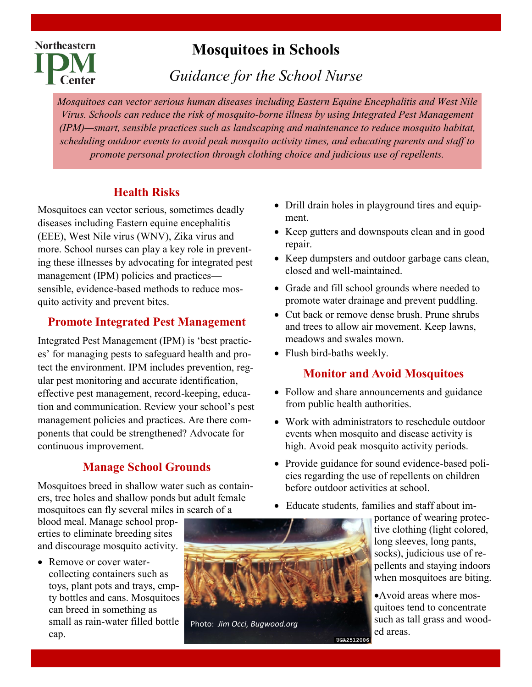# **Mosquitoes in Schools**

*Guidance for the School Nurse*

*Mosquitoes can vector serious human diseases including Eastern Equine Encephalitis and West Nile Virus. Schools can reduce the risk of mosquito-borne illness by using Integrated Pest Management (IPM)—smart, sensible practices such as landscaping and maintenance to reduce mosquito habitat, scheduling outdoor events to avoid peak mosquito activity times, and educating parents and staff to promote personal protection through clothing choice and judicious use of repellents.* 

# **Health Risks**

**Northeastern** 

**Center** 

Mosquitoes can vector serious, sometimes deadly diseases including Eastern equine encephalitis (EEE), West Nile virus (WNV), Zika virus and more. School nurses can play a key role in preventing these illnesses by advocating for integrated pest management (IPM) policies and practices sensible, evidence-based methods to reduce mosquito activity and prevent bites.

### **Promote Integrated Pest Management**

Integrated Pest Management (IPM) is 'best practices' for managing pests to safeguard health and protect the environment. IPM includes prevention, regular pest monitoring and accurate identification, effective pest management, record-keeping, education and communication. Review your school's pest management policies and practices. Are there components that could be strengthened? Advocate for continuous improvement.

# **Manage School Grounds**

Mosquitoes breed in shallow water such as containers, tree holes and shallow ponds but adult female mosquitoes can fly several miles in search of a

blood meal. Manage school properties to eliminate breeding sites and discourage mosquito activity.

• Remove or cover watercollecting containers such as toys, plant pots and trays, empty bottles and cans. Mosquitoes can breed in something as small as rain-water filled bottle cap.



Photo: *Jim Occi, Bugwood.org*

- Drill drain holes in playground tires and equipment.
- Keep gutters and downspouts clean and in good repair.
- Keep dumpsters and outdoor garbage cans clean, closed and well-maintained.
- Grade and fill school grounds where needed to promote water drainage and prevent puddling.
- Cut back or remove dense brush. Prune shrubs and trees to allow air movement. Keep lawns, meadows and swales mown.
- Flush bird-baths weekly.

# **Monitor and Avoid Mosquitoes**

- Follow and share announcements and guidance from public health authorities.
- Work with administrators to reschedule outdoor events when mosquito and disease activity is high. Avoid peak mosquito activity periods.
- Provide guidance for sound evidence-based policies regarding the use of repellents on children before outdoor activities at school.
- Educate students, families and staff about im-

UGA2512006

portance of wearing protective clothing (light colored, long sleeves, long pants, socks), judicious use of repellents and staying indoors when mosquitoes are biting.

•Avoid areas where mosquitoes tend to concentrate such as tall grass and wooded areas.